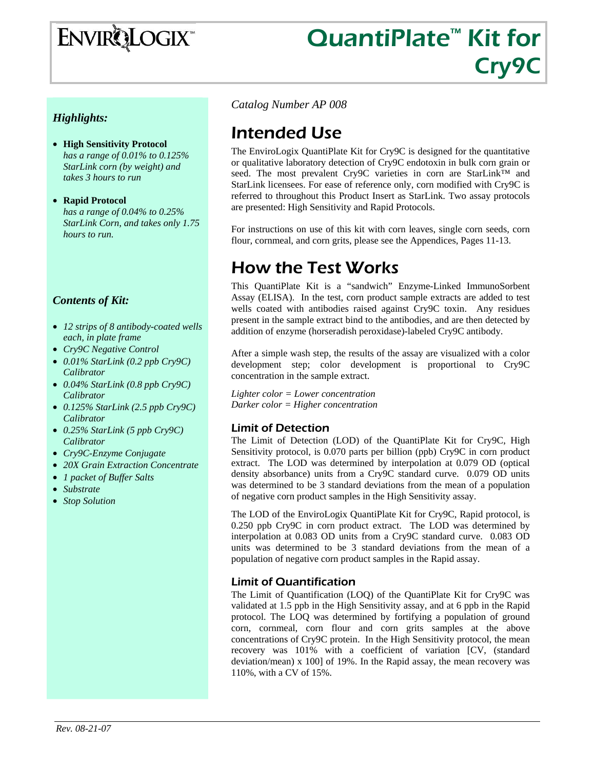# **ENVIRQLOGIX**

# QuantiPlate<sup>™</sup> Kit for Cry9C

# *Highlights:*

- **High Sensitivity Protocol** *has a range of 0.01% to 0.125% StarLink corn (by weight) and takes 3 hours to run*
- **Rapid Protocol**  *has a range of 0.04% to 0.25% StarLink Corn, and takes only 1.75 hours to run.*

# *Contents of Kit:*

- *12 strips of 8 antibody-coated wells each, in plate frame*
- *Cry9C Negative Control*
- *0.01% StarLink (0.2 ppb Cry9C) Calibrator*
- *0.04% StarLink (0.8 ppb Cry9C) Calibrator*
- *0.125% StarLink (2.5 ppb Cry9C) Calibrator*
- *0.25% StarLink (5 ppb Cry9C) Calibrator*
- *Cry9C-Enzyme Conjugate*
- *20X Grain Extraction Concentrate*
- *1 packet of Buffer Salts*
- *Substrate*
- *Stop Solution*

*Catalog Number AP 008*

# Intended Use

The EnviroLogix QuantiPlate Kit for Cry9C is designed for the quantitative or qualitative laboratory detection of Cry9C endotoxin in bulk corn grain or seed. The most prevalent Cry9C varieties in corn are StarLink™ and StarLink licensees. For ease of reference only, corn modified with Cry9C is referred to throughout this Product Insert as StarLink. Two assay protocols are presented: High Sensitivity and Rapid Protocols.

For instructions on use of this kit with corn leaves, single corn seeds, corn flour, cornmeal, and corn grits, please see the Appendices, Pages 11-13.

# How the Test Works

This QuantiPlate Kit is a "sandwich" Enzyme-Linked ImmunoSorbent Assay (ELISA). In the test, corn product sample extracts are added to test wells coated with antibodies raised against Cry9C toxin. Any residues present in the sample extract bind to the antibodies, and are then detected by addition of enzyme (horseradish peroxidase)-labeled Cry9C antibody.

After a simple wash step, the results of the assay are visualized with a color development step; color development is proportional to Cry9C concentration in the sample extract.

*Lighter color = Lower concentration Darker color = Higher concentration* 

# Limit of Detection

The Limit of Detection (LOD) of the QuantiPlate Kit for Cry9C, High Sensitivity protocol, is 0.070 parts per billion (ppb) Cry9C in corn product extract. The LOD was determined by interpolation at 0.079 OD (optical density absorbance) units from a Cry9C standard curve. 0.079 OD units was determined to be 3 standard deviations from the mean of a population of negative corn product samples in the High Sensitivity assay.

The LOD of the EnviroLogix QuantiPlate Kit for Cry9C, Rapid protocol, is 0.250 ppb Cry9C in corn product extract. The LOD was determined by interpolation at 0.083 OD units from a Cry9C standard curve. 0.083 OD units was determined to be 3 standard deviations from the mean of a population of negative corn product samples in the Rapid assay.

# Limit of Quantification

The Limit of Quantification (LOQ) of the QuantiPlate Kit for Cry9C was validated at 1.5 ppb in the High Sensitivity assay, and at 6 ppb in the Rapid protocol. The LOQ was determined by fortifying a population of ground corn, cornmeal, corn flour and corn grits samples at the above concentrations of Cry9C protein. In the High Sensitivity protocol, the mean recovery was 101% with a coefficient of variation [CV, (standard deviation/mean) x 100] of 19%. In the Rapid assay, the mean recovery was 110%, with a CV of 15%.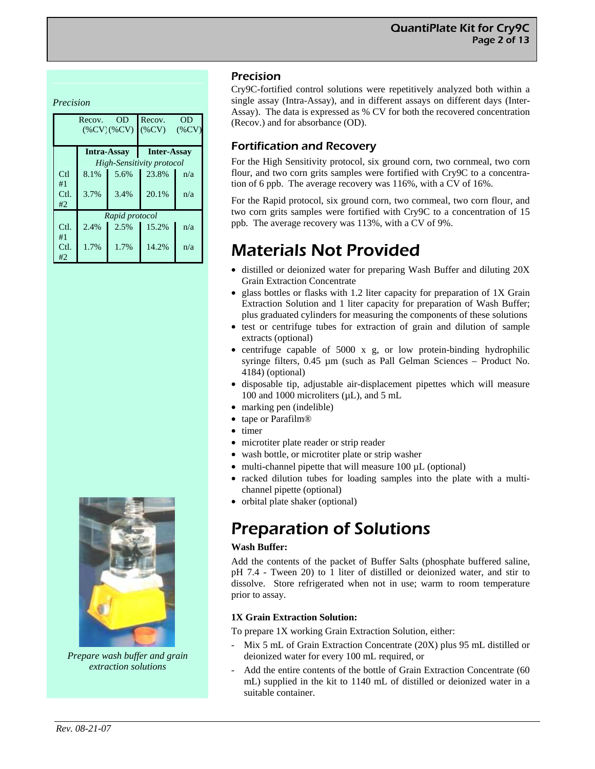*Precision* 

|      | Recov.<br>$(\%CV)(\%CV)$ | Recov.<br>OD<br>$(\%CV)$<br>$(\%CV)$ |                           |     |  |  |
|------|--------------------------|--------------------------------------|---------------------------|-----|--|--|
|      | <b>Intra-Assay</b>       | <b>Inter-Assay</b>                   |                           |     |  |  |
|      |                          |                                      | High-Sensitivity protocol |     |  |  |
| Ctl  | 8.1%                     | 5.6%                                 | 23.8%                     | n/a |  |  |
| #1   |                          |                                      |                           |     |  |  |
| Ctl. | 3.7%                     | 3.4%                                 | 20.1%                     | n/a |  |  |
| #2   |                          |                                      |                           |     |  |  |
|      |                          | Rapid protocol                       |                           |     |  |  |
| Ctl. | 2.4%                     | 2.5%                                 | 15.2%                     | n/a |  |  |
| #1   |                          |                                      |                           |     |  |  |
| Ctl. | 1.7%                     | 1.7%                                 | 14.2%                     | n/a |  |  |
| #2   |                          |                                      |                           |     |  |  |

# Precision

Cry9C-fortified control solutions were repetitively analyzed both within a single assay (Intra-Assay), and in different assays on different days (Inter-Assay). The data is expressed as % CV for both the recovered concentration (Recov.) and for absorbance (OD).

# Fortification and Recovery

For the High Sensitivity protocol, six ground corn, two cornmeal, two corn flour, and two corn grits samples were fortified with Cry9C to a concentration of 6 ppb. The average recovery was 116%, with a CV of 16%.

For the Rapid protocol, six ground corn, two cornmeal, two corn flour, and two corn grits samples were fortified with Cry9C to a concentration of 15 ppb. The average recovery was 113%, with a CV of 9%.

# Materials Not Provided

- distilled or deionized water for preparing Wash Buffer and diluting 20X Grain Extraction Concentrate
- glass bottles or flasks with 1.2 liter capacity for preparation of 1X Grain Extraction Solution and 1 liter capacity for preparation of Wash Buffer; plus graduated cylinders for measuring the components of these solutions
- test or centrifuge tubes for extraction of grain and dilution of sample extracts (optional)
- centrifuge capable of 5000 x g, or low protein-binding hydrophilic syringe filters, 0.45 µm (such as Pall Gelman Sciences – Product No. 4184) (optional)
- disposable tip, adjustable air-displacement pipettes which will measure 100 and 1000 microliters (µL), and 5 mL
- marking pen (indelible)
- tape or Parafilm<sup>®</sup>
- timer
- microtiter plate reader or strip reader
- wash bottle, or microtiter plate or strip washer
- multi-channel pipette that will measure 100  $\mu$ L (optional)
- racked dilution tubes for loading samples into the plate with a multichannel pipette (optional)
- orbital plate shaker (optional)

# Preparation of Solutions

### **Wash Buffer:**

Add the contents of the packet of Buffer Salts (phosphate buffered saline, pH 7.4 - Tween 20) to 1 liter of distilled or deionized water, and stir to dissolve. Store refrigerated when not in use; warm to room temperature prior to assay.

## **1X Grain Extraction Solution:**

To prepare 1X working Grain Extraction Solution, either:

- Mix 5 mL of Grain Extraction Concentrate (20X) plus 95 mL distilled or deionized water for every 100 mL required, or
- Add the entire contents of the bottle of Grain Extraction Concentrate (60) mL) supplied in the kit to 1140 mL of distilled or deionized water in a suitable container.



*Prepare wash buffer and grain extraction solutions*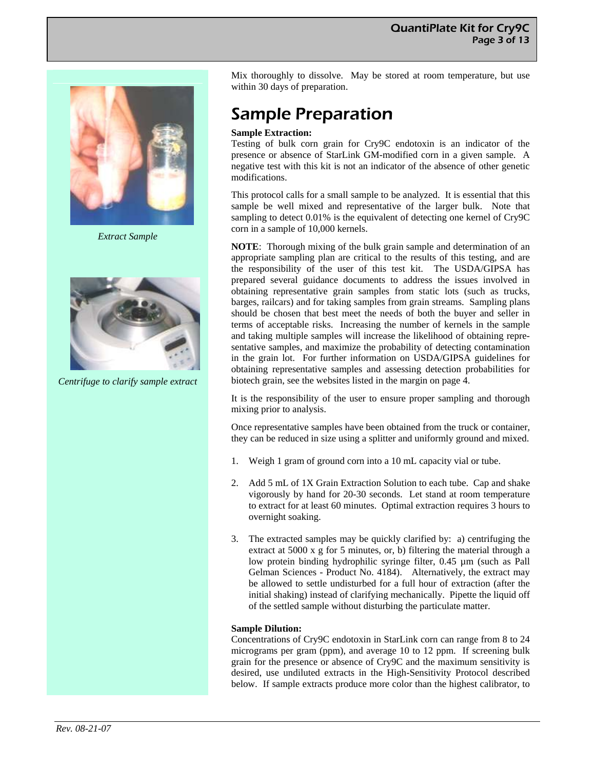

*Extract Sample* 



*Centrifuge to clarify sample extract* 

Mix thoroughly to dissolve. May be stored at room temperature, but use within 30 days of preparation.

# Sample Preparation

### **Sample Extraction:**

Testing of bulk corn grain for Cry9C endotoxin is an indicator of the presence or absence of StarLink GM-modified corn in a given sample. A negative test with this kit is not an indicator of the absence of other genetic modifications.

This protocol calls for a small sample to be analyzed. It is essential that this sample be well mixed and representative of the larger bulk. Note that sampling to detect 0.01% is the equivalent of detecting one kernel of Cry9C corn in a sample of 10,000 kernels.

**NOTE**: Thorough mixing of the bulk grain sample and determination of an appropriate sampling plan are critical to the results of this testing, and are the responsibility of the user of this test kit. The USDA/GIPSA has prepared several guidance documents to address the issues involved in obtaining representative grain samples from static lots (such as trucks, barges, railcars) and for taking samples from grain streams. Sampling plans should be chosen that best meet the needs of both the buyer and seller in terms of acceptable risks. Increasing the number of kernels in the sample and taking multiple samples will increase the likelihood of obtaining representative samples, and maximize the probability of detecting contamination in the grain lot. For further information on USDA/GIPSA guidelines for obtaining representative samples and assessing detection probabilities for biotech grain, see the websites listed in the margin on page 4.

It is the responsibility of the user to ensure proper sampling and thorough mixing prior to analysis.

Once representative samples have been obtained from the truck or container, they can be reduced in size using a splitter and uniformly ground and mixed.

- 1. Weigh 1 gram of ground corn into a 10 mL capacity vial or tube.
- 2. Add 5 mL of 1X Grain Extraction Solution to each tube. Cap and shake vigorously by hand for 20-30 seconds. Let stand at room temperature to extract for at least 60 minutes. Optimal extraction requires 3 hours to overnight soaking.
- 3. The extracted samples may be quickly clarified by: a) centrifuging the extract at 5000 x g for 5 minutes, or, b) filtering the material through a low protein binding hydrophilic syringe filter, 0.45 µm (such as Pall Gelman Sciences - Product No. 4184). Alternatively, the extract may be allowed to settle undisturbed for a full hour of extraction (after the initial shaking) instead of clarifying mechanically. Pipette the liquid off of the settled sample without disturbing the particulate matter.

### **Sample Dilution:**

Concentrations of Cry9C endotoxin in StarLink corn can range from 8 to 24 micrograms per gram (ppm), and average 10 to 12 ppm. If screening bulk grain for the presence or absence of Cry9C and the maximum sensitivity is desired, use undiluted extracts in the High-Sensitivity Protocol described below. If sample extracts produce more color than the highest calibrator, to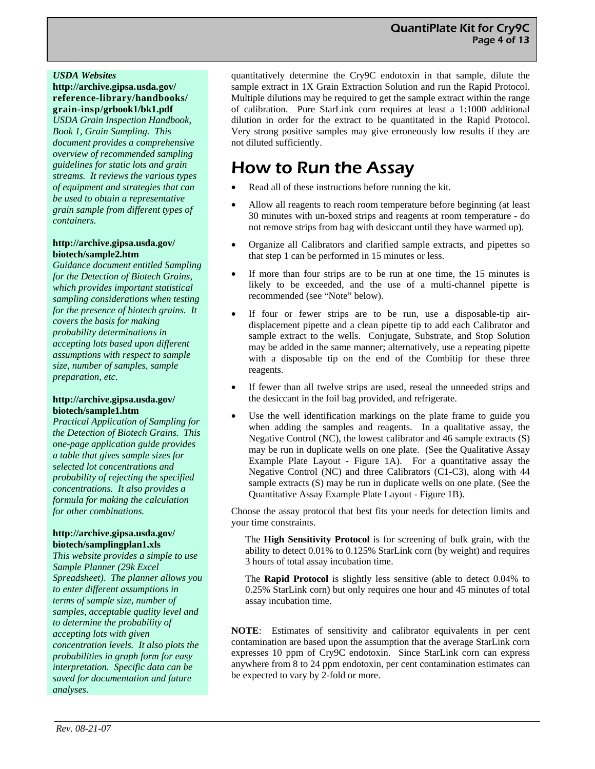### *USDA Websites*

**http://archive.gipsa.usda.gov/ reference-library/handbooks/ grain-insp/grbook1/bk1.pdf** 

*USDA Grain Inspection Handbook, Book 1, Grain Sampling. This document provides a comprehensive overview of recommended sampling guidelines for static lots and grain streams. It reviews the various types of equipment and strategies that can be used to obtain a representative grain sample from different types of containers.* 

### **http://archive.gipsa.usda.gov/ biotech/sample2.htm**

*Guidance document entitled Sampling for the Detection of Biotech Grains, which provides important statistical sampling considerations when testing for the presence of biotech grains. It covers the basis for making probability determinations in accepting lots based upon different assumptions with respect to sample size, number of samples, sample preparation, etc*.

### **http://archive.gipsa.usda.gov/ biotech/sample1.htm**

*Practical Application of Sampling for the Detection of Biotech Grains. This one-page application guide provides a table that gives sample sizes for selected lot concentrations and probability of rejecting the specified concentrations. It also provides a formula for making the calculation for other combinations.* 

### **http://archive.gipsa.usda.gov/ biotech/samplingplan1.xls**

*This website provides a simple to use Sample Planner (29k Excel Spreadsheet). The planner allows you to enter different assumptions in terms of sample size, number of samples, acceptable quality level and to determine the probability of accepting lots with given concentration levels. It also plots the probabilities in graph form for easy interpretation. Specific data can be saved for documentation and future analyses.* 

quantitatively determine the Cry9C endotoxin in that sample, dilute the sample extract in 1X Grain Extraction Solution and run the Rapid Protocol. Multiple dilutions may be required to get the sample extract within the range of calibration. Pure StarLink corn requires at least a 1:1000 additional dilution in order for the extract to be quantitated in the Rapid Protocol. Very strong positive samples may give erroneously low results if they are not diluted sufficiently.

# How to Run the Assay

- Read all of these instructions before running the kit.
- Allow all reagents to reach room temperature before beginning (at least 30 minutes with un-boxed strips and reagents at room temperature - do not remove strips from bag with desiccant until they have warmed up).
- Organize all Calibrators and clarified sample extracts, and pipettes so that step 1 can be performed in 15 minutes or less.
- If more than four strips are to be run at one time, the 15 minutes is likely to be exceeded, and the use of a multi-channel pipette is recommended (see "Note" below).
- If four or fewer strips are to be run, use a disposable-tip airdisplacement pipette and a clean pipette tip to add each Calibrator and sample extract to the wells. Conjugate, Substrate, and Stop Solution may be added in the same manner; alternatively, use a repeating pipette with a disposable tip on the end of the Combitip for these three reagents.
- If fewer than all twelve strips are used, reseal the unneeded strips and the desiccant in the foil bag provided, and refrigerate.
- Use the well identification markings on the plate frame to guide you when adding the samples and reagents. In a qualitative assay, the Negative Control (NC), the lowest calibrator and 46 sample extracts (S) may be run in duplicate wells on one plate. (See the Qualitative Assay Example Plate Layout - Figure 1A). For a quantitative assay the Negative Control (NC) and three Calibrators (C1-C3), along with 44 sample extracts (S) may be run in duplicate wells on one plate. (See the Quantitative Assay Example Plate Layout - Figure 1B).

Choose the assay protocol that best fits your needs for detection limits and your time constraints.

The **High Sensitivity Protocol** is for screening of bulk grain, with the ability to detect 0.01% to 0.125% StarLink corn (by weight) and requires 3 hours of total assay incubation time.

The **Rapid Protocol** is slightly less sensitive (able to detect 0.04% to 0.25% StarLink corn) but only requires one hour and 45 minutes of total assay incubation time.

**NOTE**: Estimates of sensitivity and calibrator equivalents in per cent contamination are based upon the assumption that the average StarLink corn expresses 10 ppm of Cry9C endotoxin. Since StarLink corn can express anywhere from 8 to 24 ppm endotoxin, per cent contamination estimates can be expected to vary by 2-fold or more.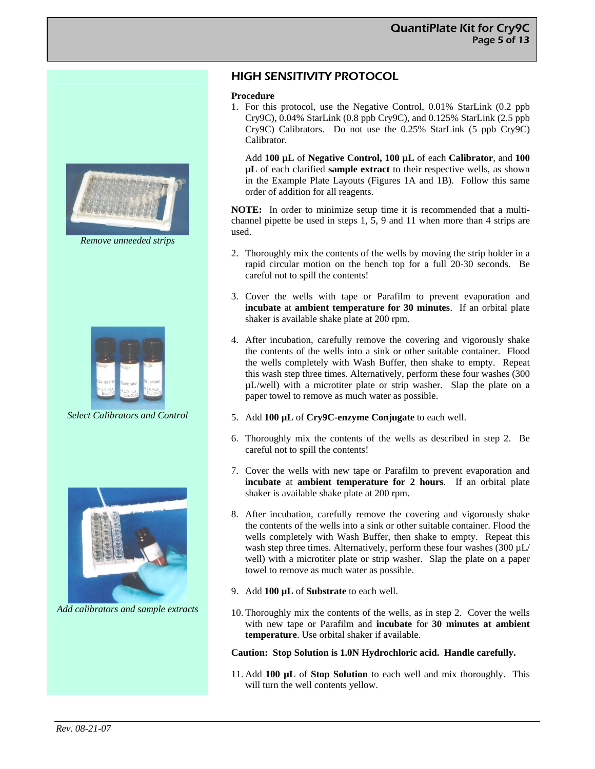

*Remove unneeded strips* 



*Select Calibrators and Control* 



*Add calibrators and sample extracts* 

# HIGH SENSITIVITY PROTOCOL

### **Procedure**

1. For this protocol, use the Negative Control, 0.01% StarLink (0.2 ppb Cry9C), 0.04% StarLink (0.8 ppb Cry9C), and 0.125% StarLink (2.5 ppb Cry9C) Calibrators. Do not use the 0.25% StarLink (5 ppb Cry9C) Calibrator.

Add **100 µL** of **Negative Control, 100 µL** of each **Calibrator**, and **100 µL** of each clarified **sample extract** to their respective wells, as shown in the Example Plate Layouts (Figures 1A and 1B). Follow this same order of addition for all reagents.

**NOTE:** In order to minimize setup time it is recommended that a multichannel pipette be used in steps 1, 5, 9 and 11 when more than 4 strips are used.

- 2. Thoroughly mix the contents of the wells by moving the strip holder in a rapid circular motion on the bench top for a full 20-30 seconds. Be careful not to spill the contents!
- 3. Cover the wells with tape or Parafilm to prevent evaporation and **incubate** at **ambient temperature for 30 minutes**. If an orbital plate shaker is available shake plate at 200 rpm.
- 4. After incubation, carefully remove the covering and vigorously shake the contents of the wells into a sink or other suitable container. Flood the wells completely with Wash Buffer, then shake to empty. Repeat this wash step three times. Alternatively, perform these four washes (300 µL/well) with a microtiter plate or strip washer. Slap the plate on a paper towel to remove as much water as possible.
- 5. Add **100 µL** of **Cry9C-enzyme Conjugate** to each well.
- 6. Thoroughly mix the contents of the wells as described in step 2. Be careful not to spill the contents!
- 7. Cover the wells with new tape or Parafilm to prevent evaporation and **incubate** at **ambient temperature for 2 hours**. If an orbital plate shaker is available shake plate at 200 rpm.
- 8. After incubation, carefully remove the covering and vigorously shake the contents of the wells into a sink or other suitable container. Flood the wells completely with Wash Buffer, then shake to empty. Repeat this wash step three times. Alternatively, perform these four washes  $(300 \mu L)$ well) with a microtiter plate or strip washer. Slap the plate on a paper towel to remove as much water as possible.
- 9. Add **100 µL** of **Substrate** to each well.
- 10. Thoroughly mix the contents of the wells, as in step 2. Cover the wells with new tape or Parafilm and **incubate** for **30 minutes at ambient temperature**. Use orbital shaker if available.

### **Caution: Stop Solution is 1.0N Hydrochloric acid. Handle carefully.**

11. Add **100 µL** of **Stop Solution** to each well and mix thoroughly. This will turn the well contents yellow.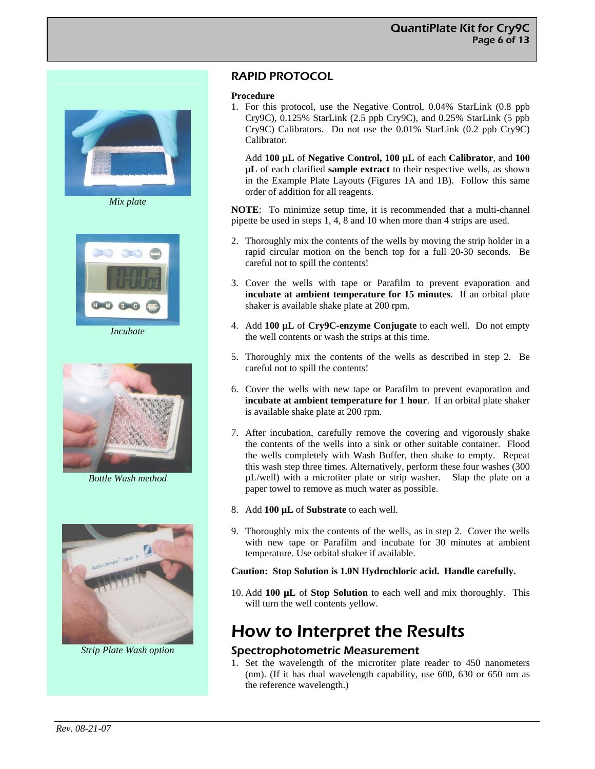

*Mix plate* 



*Incubate* 



*Bottle Wash method* 



*Strip Plate Wash option* 

# RAPID PROTOCOL

#### **Procedure**

1. For this protocol, use the Negative Control, 0.04% StarLink (0.8 ppb Cry9C), 0.125% StarLink (2.5 ppb Cry9C), and 0.25% StarLink (5 ppb Cry9C) Calibrators. Do not use the 0.01% StarLink (0.2 ppb Cry9C) Calibrator.

Add **100 µL** of **Negative Control, 100 µL** of each **Calibrator**, and **100 µL** of each clarified **sample extract** to their respective wells, as shown in the Example Plate Layouts (Figures 1A and 1B). Follow this same order of addition for all reagents.

**NOTE**: To minimize setup time, it is recommended that a multi-channel pipette be used in steps 1, 4, 8 and 10 when more than 4 strips are used.

- 2. Thoroughly mix the contents of the wells by moving the strip holder in a rapid circular motion on the bench top for a full 20-30 seconds. Be careful not to spill the contents!
- 3. Cover the wells with tape or Parafilm to prevent evaporation and **incubate at ambient temperature for 15 minutes**. If an orbital plate shaker is available shake plate at 200 rpm.
- 4. Add **100 µL** of **Cry9C-enzyme Conjugate** to each well. Do not empty the well contents or wash the strips at this time.
- 5. Thoroughly mix the contents of the wells as described in step 2. Be careful not to spill the contents!
- 6. Cover the wells with new tape or Parafilm to prevent evaporation and **incubate at ambient temperature for 1 hour**. If an orbital plate shaker is available shake plate at 200 rpm.
- 7. After incubation, carefully remove the covering and vigorously shake the contents of the wells into a sink or other suitable container. Flood the wells completely with Wash Buffer, then shake to empty. Repeat this wash step three times. Alternatively, perform these four washes (300 µL/well) with a microtiter plate or strip washer. Slap the plate on a paper towel to remove as much water as possible.
- 8. Add **100 µL** of **Substrate** to each well.
- 9. Thoroughly mix the contents of the wells, as in step 2. Cover the wells with new tape or Parafilm and incubate for 30 minutes at ambient temperature. Use orbital shaker if available.

### **Caution: Stop Solution is 1.0N Hydrochloric acid. Handle carefully.**

10. Add **100 µL** of **Stop Solution** to each well and mix thoroughly. This will turn the well contents yellow.

# How to Interpret the Results

### Spectrophotometric Measurement

1. Set the wavelength of the microtiter plate reader to 450 nanometers (nm). (If it has dual wavelength capability, use 600, 630 or 650 nm as the reference wavelength.)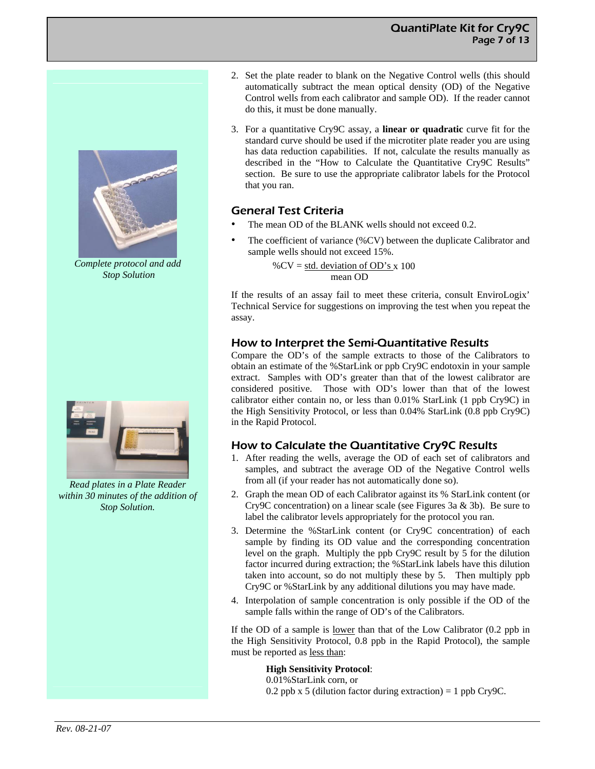# QuantiPlate Kit for Cry9C Page 7 of 13



*Complete protocol and add Stop Solution* 



*Read plates in a Plate Reader within 30 minutes of the addition of Stop Solution.* 

- 2. Set the plate reader to blank on the Negative Control wells (this should automatically subtract the mean optical density (OD) of the Negative Control wells from each calibrator and sample OD). If the reader cannot do this, it must be done manually.
- 3. For a quantitative Cry9C assay, a **linear or quadratic** curve fit for the standard curve should be used if the microtiter plate reader you are using has data reduction capabilities. If not, calculate the results manually as described in the "How to Calculate the Quantitative Cry9C Results" section. Be sure to use the appropriate calibrator labels for the Protocol that you ran.

# General Test Criteria

- The mean OD of the BLANK wells should not exceed 0.2.
- The coefficient of variance (%CV) between the duplicate Calibrator and sample wells should not exceed 15%.

% $CV = std. deviation of OD's x 100$ mean OD

If the results of an assay fail to meet these criteria, consult EnviroLogix' Technical Service for suggestions on improving the test when you repeat the assay.

# How to Interpret the Semi-Quantitative Results

Compare the OD's of the sample extracts to those of the Calibrators to obtain an estimate of the %StarLink or ppb Cry9C endotoxin in your sample extract. Samples with OD's greater than that of the lowest calibrator are considered positive. Those with OD's lower than that of the lowest calibrator either contain no, or less than 0.01% StarLink (1 ppb Cry9C) in the High Sensitivity Protocol, or less than 0.04% StarLink (0.8 ppb Cry9C) in the Rapid Protocol.

# How to Calculate the Quantitative Cry9C Results

- 1. After reading the wells, average the OD of each set of calibrators and samples, and subtract the average OD of the Negative Control wells from all (if your reader has not automatically done so).
- 2. Graph the mean OD of each Calibrator against its % StarLink content (or Cry9C concentration) on a linear scale (see Figures 3a & 3b). Be sure to label the calibrator levels appropriately for the protocol you ran.
- 3. Determine the %StarLink content (or Cry9C concentration) of each sample by finding its OD value and the corresponding concentration level on the graph. Multiply the ppb Cry9C result by 5 for the dilution factor incurred during extraction; the %StarLink labels have this dilution taken into account, so do not multiply these by 5. Then multiply ppb Cry9C or %StarLink by any additional dilutions you may have made.
- 4. Interpolation of sample concentration is only possible if the OD of the sample falls within the range of OD's of the Calibrators.

If the OD of a sample is lower than that of the Low Calibrator (0.2 ppb in the High Sensitivity Protocol, 0.8 ppb in the Rapid Protocol), the sample must be reported as less than:

**High Sensitivity Protocol**:

0.01%StarLink corn, or 0.2 ppb x 5 (dilution factor during extraction) = 1 ppb Cry9C.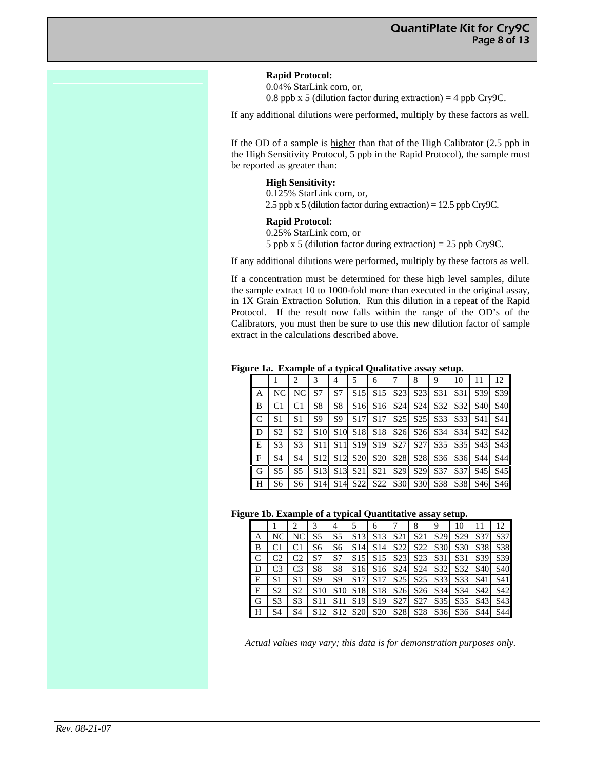**Rapid Protocol:** 

0.04% StarLink corn, or, 0.8 ppb x 5 (dilution factor during extraction) = 4 ppb Cry9C.

If any additional dilutions were performed, multiply by these factors as well.

If the OD of a sample is higher than that of the High Calibrator (2.5 ppb in the High Sensitivity Protocol, 5 ppb in the Rapid Protocol), the sample must be reported as greater than:

#### **High Sensitivity:**

0.125% StarLink corn, or, 2.5 ppb x 5 (dilution factor during extraction) = 12.5 ppb Cry9C.

#### **Rapid Protocol:**

0.25% StarLink corn, or

5 ppb x 5 (dilution factor during extraction) = 25 ppb Cry9C.

If any additional dilutions were performed, multiply by these factors as well.

If a concentration must be determined for these high level samples, dilute the sample extract 10 to 1000-fold more than executed in the original assay, in 1X Grain Extraction Solution. Run this dilution in a repeat of the Rapid Protocol. If the result now falls within the range of the OD's of the Calibrators, you must then be sure to use this new dilution factor of sample extract in the calculations described above.

**Figure 1a. Example of a typical Qualitative assay setup.**

|   |                 | 2              | 3               | 4               | 5                                                                                                                                               | 6                                               |                                                 | 8               | 9               | 10              | 11                                                                                              | 12         |
|---|-----------------|----------------|-----------------|-----------------|-------------------------------------------------------------------------------------------------------------------------------------------------|-------------------------------------------------|-------------------------------------------------|-----------------|-----------------|-----------------|-------------------------------------------------------------------------------------------------|------------|
| А | NC <sub>1</sub> | NC.            | S7              | S7              | S <sub>15</sub>                                                                                                                                 |                                                 | S <sub>15</sub> S <sub>23</sub> S <sub>23</sub> |                 | S31             | S <sub>31</sub> | S39                                                                                             | S39        |
| B | C <sub>1</sub>  | C <sub>1</sub> | S <sub>8</sub>  | S8              |                                                                                                                                                 | S <sub>16</sub> S <sub>16</sub> S <sub>24</sub> |                                                 | S <sub>24</sub> |                 |                 | S32 S32 S40 S40                                                                                 |            |
| C | S1              | S <sub>1</sub> | S9              | S9              | S <sub>17</sub>                                                                                                                                 |                                                 |                                                 |                 |                 |                 | S <sub>17</sub> S <sub>25</sub> S <sub>25</sub> S <sub>33</sub> S <sub>33</sub> S <sub>41</sub> | <b>S41</b> |
| D | S <sub>2</sub>  | S <sub>2</sub> | S <sub>10</sub> |                 | S <sub>10</sub> S <sub>18</sub> S <sub>18</sub> S <sub>26</sub> S <sub>26</sub> S <sub>26</sub> S <sub>34</sub> S <sub>34</sub> S <sub>42</sub> |                                                 |                                                 |                 |                 |                 |                                                                                                 | S42        |
| E | S <sub>3</sub>  | S <sub>3</sub> |                 |                 | S11 S11 S19 S19 S27 S27 S25 S35 S43                                                                                                             |                                                 |                                                 |                 |                 |                 |                                                                                                 | S43        |
| F | S <sub>4</sub>  | S <sub>4</sub> | S12             |                 | S12 S20 S20 S28 S28 S36 S36 S44 S44                                                                                                             |                                                 |                                                 |                 |                 |                 |                                                                                                 |            |
| G | S <sub>5</sub>  | S <sub>5</sub> | S <sub>13</sub> | S <sub>13</sub> | S21                                                                                                                                             | S21                                             | S <sub>29</sub>                                 | S <sub>29</sub> | S <sub>37</sub> |                 | S37 S45 S45                                                                                     |            |
| Н | S6              | S6             |                 |                 | S14 S14 S22 S22 S30 S30 S38 S38 S46 S46                                                                                                         |                                                 |                                                 |                 |                 |                 |                                                                                                 |            |

#### **Figure 1b. Example of a typical Quantitative assay setup.**

|   |                |                |                 | . .             |                 | -               |                 |                  | $\cdot$         |                 |                 |                 |
|---|----------------|----------------|-----------------|-----------------|-----------------|-----------------|-----------------|------------------|-----------------|-----------------|-----------------|-----------------|
|   |                |                | 3               | 4               | 5               | 6               |                 | 8                | 9               | 10              | 11              | 12              |
| Α | NC             | NC             | S5              | S5              | S <sub>13</sub> | S <sub>13</sub> | S <sub>21</sub> | S <sub>21</sub>  | S <sub>29</sub> | S <sub>29</sub> | S37             | S37             |
| B |                |                | S6              | S6              | S <sub>14</sub> | S <sub>14</sub> | S22             | S <sub>22</sub>  | S30             | S30             | S38             | S38             |
| C | C <sub>2</sub> | C2             | S7              | S7              | S <sub>15</sub> | S <sub>15</sub> | S23             | S <sub>2</sub> 3 | S31             | S31             | S39             | S39             |
| D | C <sub>3</sub> | C <sub>3</sub> | S <sub>8</sub>  | S <sub>8</sub>  | S <sub>16</sub> | S <sub>16</sub> | S <sub>24</sub> | S <sub>24</sub>  | S32             | S32             | S <sub>40</sub> | S <sub>40</sub> |
| E | S1             | S1             | S <sub>9</sub>  | S9              | S <sub>17</sub> | S <sub>17</sub> | S <sub>25</sub> | S <sub>25</sub>  | S33             | S <sub>33</sub> | S41             | S41             |
| F | S <sub>2</sub> | S <sub>2</sub> | S <sub>10</sub> | S10             | S <sub>18</sub> | S <sub>18</sub> | S <sub>26</sub> | S <sub>26</sub>  | S34             | S <sub>34</sub> | S42             | S42             |
| G | S <sub>3</sub> | S <sub>3</sub> | S11             | S11             | S <sub>19</sub> | S <sub>19</sub> | S27             | S27              | S <sub>35</sub> | S <sub>35</sub> | S43             | S43             |
| Н | S4             | S4             | S12             | S <sub>12</sub> | <b>S20</b>      | <b>S20</b>      | S <sub>28</sub> | S <sub>28</sub>  | S36             | S36             | S44             | S44             |

*Actual values may vary; this data is for demonstration purposes only.*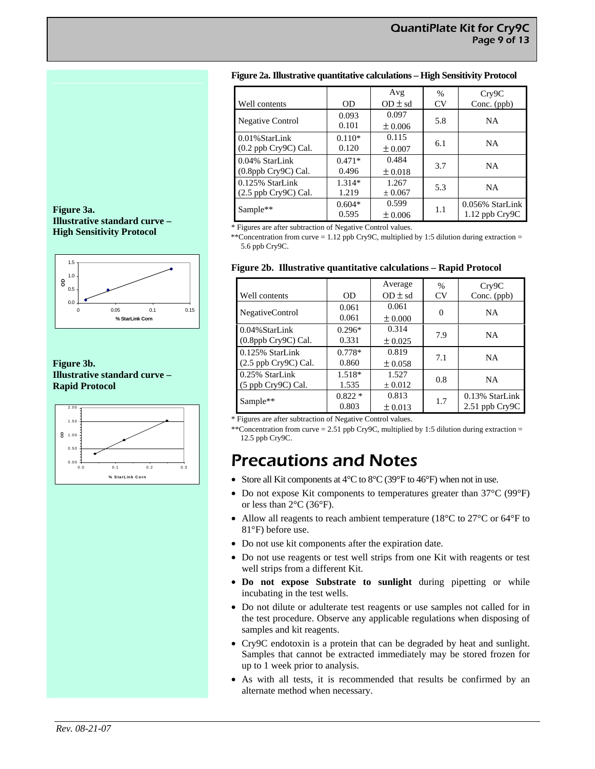### **Figure 2a. Illustrative quantitative calculations – High Sensitivity Protocol**

| Well contents                                | 0D                | Avg<br>$OD \pm sd$   | %<br><b>CV</b> | Cry9C<br>Conc. (ppb)                  |  |
|----------------------------------------------|-------------------|----------------------|----------------|---------------------------------------|--|
| <b>Negative Control</b>                      | 0.093<br>0.101    | 0.097<br>± 0.006     | 5.8            | <b>NA</b>                             |  |
| $0.01\%$ StarLink<br>(0.2 ppb Cry9C) Cal.    | $0.110*$<br>0.120 | 0.115<br>$\pm 0.007$ | 6.1            | NA                                    |  |
| 0.04% StarLink<br>$(0.8$ ppb Cry $9C$ ) Cal. | $0.471*$<br>0.496 | 0.484<br>$\pm 0.018$ | 3.7            | <b>NA</b>                             |  |
| 0.125% StarLink<br>$(2.5$ ppb Cry9C) Cal.    | $1.314*$<br>1.219 | 1.267<br>± 0.067     | 5.3            | NA                                    |  |
| Sample**                                     | $0.604*$<br>0.595 | 0.599<br>± 0.006     | 1.1            | 0.056% StarLink<br>$1.12$ ppb $Cry9C$ |  |

\* Figures are after subtraction of Negative Control values.

\*\*Concentration from curve = 1.12 ppb Cry9C, multiplied by 1:5 dilution during extraction = 5.6 ppb Cry9C.

#### **Figure 2b. Illustrative quantitative calculations – Rapid Protocol**

| Well contents                                   | 0D                | Average<br>$OD \pm sd$ | $\%$<br><b>CV</b> | Cry9C<br>Conc. (ppb)                 |
|-------------------------------------------------|-------------------|------------------------|-------------------|--------------------------------------|
| NegativeControl                                 | 0.061<br>0.061    | 0.061<br>$\pm 0.000$   | $\Omega$          | <b>NA</b>                            |
| $0.04\%$ StarLink<br>$(0.8$ ppb Cry $9C$ ) Cal. | $0.296*$<br>0.331 | 0.314<br>± 0.025       | 7.9               | <b>NA</b>                            |
| 0.125% StarLink<br>(2.5 ppb Cry9C) Cal.         | $0.778*$<br>0.860 | 0.819<br>$\pm 0.058$   | 7.1               | <b>NA</b>                            |
| 0.25% StarLink<br>$(5$ ppb Cry9C) Cal.          | 1.518*<br>1.535   | 1.527<br>$\pm 0.012$   | 0.8               | <b>NA</b>                            |
| Sample**                                        | $0.822*$<br>0.803 | 0.813<br>$\pm 0.013$   | 1.7               | 0.13% StarLink<br>$2.51$ ppb $Cry9C$ |

\* Figures are after subtraction of Negative Control values.

\*\*Concentration from curve = 2.51 ppb Cry9C, multiplied by 1:5 dilution during extraction = 12.5 ppb Cry9C.

# Precautions and Notes

- Store all Kit components at  $4^{\circ}C$  to  $8^{\circ}C$  (39 $^{\circ}F$  to  $46^{\circ}F$ ) when not in use.
- Do not expose Kit components to temperatures greater than 37°C (99°F) or less than  $2^{\circ}$ C (36 $^{\circ}$ F).
- Allow all reagents to reach ambient temperature (18 $^{\circ}$ C to 27 $^{\circ}$ C or 64 $^{\circ}$ F to 81°F) before use.
- Do not use kit components after the expiration date.
- Do not use reagents or test well strips from one Kit with reagents or test well strips from a different Kit.
- **Do not expose Substrate to sunlight** during pipetting or while incubating in the test wells.
- Do not dilute or adulterate test reagents or use samples not called for in the test procedure. Observe any applicable regulations when disposing of samples and kit reagents.
- Cry9C endotoxin is a protein that can be degraded by heat and sunlight. Samples that cannot be extracted immediately may be stored frozen for up to 1 week prior to analysis.
- As with all tests, it is recommended that results be confirmed by an alternate method when necessary.

### **Figure 3a. Illustrative standard curve – High Sensitivity Protocol**



### **Figure 3b. Illustrative standard curve – Rapid Protocol**

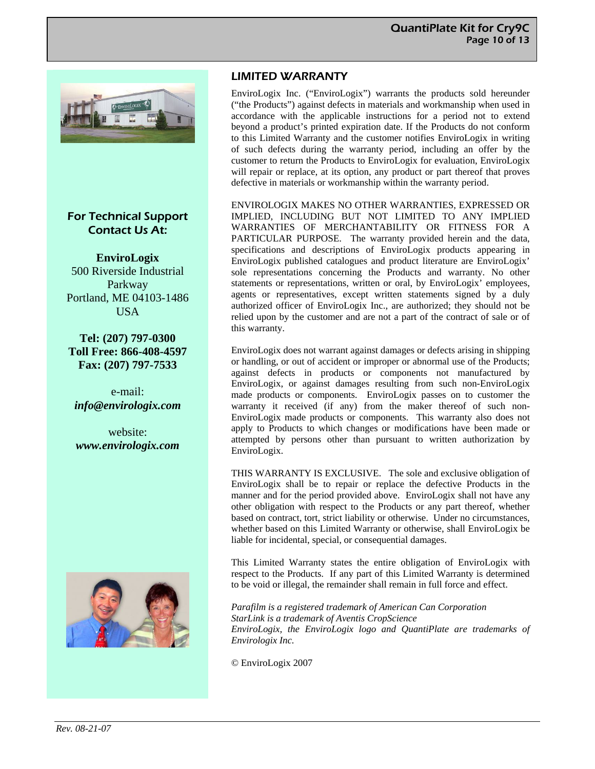

# For Technical Support Contact Us At:

**EnviroLogix**  500 Riverside Industrial Parkway Portland, ME 04103-1486 **USA** 

**Tel: (207) 797-0300 Toll Free: 866-408-4597 Fax: (207) 797-7533** 

e-mail: *info@envirologix.com* 

website: *www.envirologix.com* 



# LIMITED WARRANTY

EnviroLogix Inc. ("EnviroLogix") warrants the products sold hereunder ("the Products") against defects in materials and workmanship when used in accordance with the applicable instructions for a period not to extend beyond a product's printed expiration date. If the Products do not conform to this Limited Warranty and the customer notifies EnviroLogix in writing of such defects during the warranty period, including an offer by the customer to return the Products to EnviroLogix for evaluation, EnviroLogix will repair or replace, at its option, any product or part thereof that proves defective in materials or workmanship within the warranty period.

ENVIROLOGIX MAKES NO OTHER WARRANTIES, EXPRESSED OR IMPLIED, INCLUDING BUT NOT LIMITED TO ANY IMPLIED WARRANTIES OF MERCHANTABILITY OR FITNESS FOR A PARTICULAR PURPOSE. The warranty provided herein and the data, specifications and descriptions of EnviroLogix products appearing in EnviroLogix published catalogues and product literature are EnviroLogix' sole representations concerning the Products and warranty. No other statements or representations, written or oral, by EnviroLogix' employees, agents or representatives, except written statements signed by a duly authorized officer of EnviroLogix Inc., are authorized; they should not be relied upon by the customer and are not a part of the contract of sale or of this warranty.

EnviroLogix does not warrant against damages or defects arising in shipping or handling, or out of accident or improper or abnormal use of the Products; against defects in products or components not manufactured by EnviroLogix, or against damages resulting from such non-EnviroLogix made products or components. EnviroLogix passes on to customer the warranty it received (if any) from the maker thereof of such non-EnviroLogix made products or components. This warranty also does not apply to Products to which changes or modifications have been made or attempted by persons other than pursuant to written authorization by EnviroLogix.

THIS WARRANTY IS EXCLUSIVE. The sole and exclusive obligation of EnviroLogix shall be to repair or replace the defective Products in the manner and for the period provided above. EnviroLogix shall not have any other obligation with respect to the Products or any part thereof, whether based on contract, tort, strict liability or otherwise. Under no circumstances, whether based on this Limited Warranty or otherwise, shall EnviroLogix be liable for incidental, special, or consequential damages.

This Limited Warranty states the entire obligation of EnviroLogix with respect to the Products. If any part of this Limited Warranty is determined to be void or illegal, the remainder shall remain in full force and effect.

*Parafilm is a registered trademark of American Can Corporation StarLink is a trademark of Aventis CropScience EnviroLogix, the EnviroLogix logo and QuantiPlate are trademarks of Envirologix Inc.* 

© EnviroLogix 2007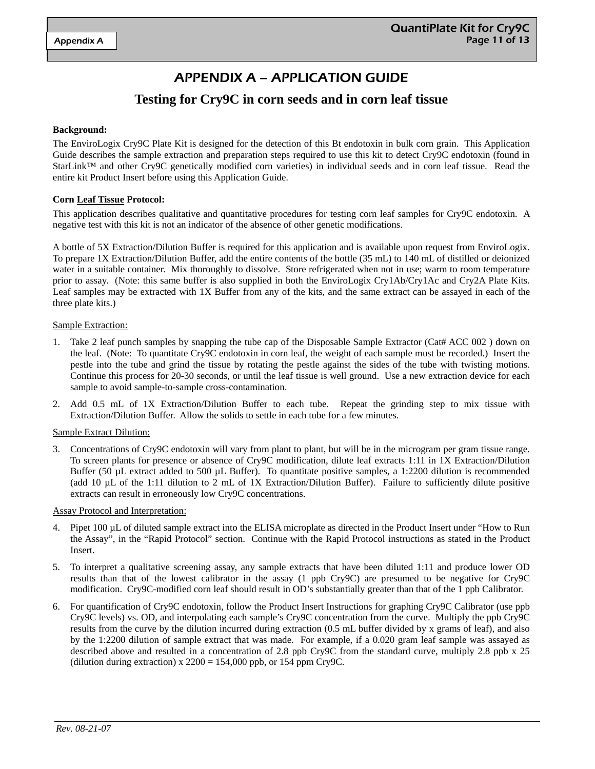# APPENDIX A – APPLICATION GUIDE

# **Testing for Cry9C in corn seeds and in corn leaf tissue**

#### **Background:**

The EnviroLogix Cry9C Plate Kit is designed for the detection of this Bt endotoxin in bulk corn grain. This Application Guide describes the sample extraction and preparation steps required to use this kit to detect Cry9C endotoxin (found in StarLink™ and other Cry9C genetically modified corn varieties) in individual seeds and in corn leaf tissue. Read the entire kit Product Insert before using this Application Guide.

### **Corn Leaf Tissue Protocol:**

This application describes qualitative and quantitative procedures for testing corn leaf samples for Cry9C endotoxin. A negative test with this kit is not an indicator of the absence of other genetic modifications.

A bottle of 5X Extraction/Dilution Buffer is required for this application and is available upon request from EnviroLogix. To prepare 1X Extraction/Dilution Buffer, add the entire contents of the bottle (35 mL) to 140 mL of distilled or deionized water in a suitable container. Mix thoroughly to dissolve. Store refrigerated when not in use; warm to room temperature prior to assay. (Note: this same buffer is also supplied in both the EnviroLogix Cry1Ab/Cry1Ac and Cry2A Plate Kits. Leaf samples may be extracted with 1X Buffer from any of the kits, and the same extract can be assayed in each of the three plate kits.)

#### Sample Extraction:

- 1. Take 2 leaf punch samples by snapping the tube cap of the Disposable Sample Extractor (Cat# ACC 002 ) down on the leaf. (Note: To quantitate Cry9C endotoxin in corn leaf, the weight of each sample must be recorded.) Insert the pestle into the tube and grind the tissue by rotating the pestle against the sides of the tube with twisting motions. Continue this process for 20-30 seconds, or until the leaf tissue is well ground. Use a new extraction device for each sample to avoid sample-to-sample cross-contamination.
- 2. Add 0.5 mL of 1X Extraction/Dilution Buffer to each tube. Repeat the grinding step to mix tissue with Extraction/Dilution Buffer. Allow the solids to settle in each tube for a few minutes.

#### Sample Extract Dilution:

3. Concentrations of Cry9C endotoxin will vary from plant to plant, but will be in the microgram per gram tissue range. To screen plants for presence or absence of Cry9C modification, dilute leaf extracts 1:11 in 1X Extraction/Dilution Buffer (50 µL extract added to 500 µL Buffer). To quantitate positive samples, a 1:2200 dilution is recommended (add 10 µL of the 1:11 dilution to 2 mL of 1X Extraction/Dilution Buffer). Failure to sufficiently dilute positive extracts can result in erroneously low Cry9C concentrations.

#### Assay Protocol and Interpretation:

- 4. Pipet 100 µL of diluted sample extract into the ELISA microplate as directed in the Product Insert under "How to Run the Assay", in the "Rapid Protocol" section. Continue with the Rapid Protocol instructions as stated in the Product Insert.
- 5. To interpret a qualitative screening assay, any sample extracts that have been diluted 1:11 and produce lower OD results than that of the lowest calibrator in the assay (1 ppb Cry9C) are presumed to be negative for Cry9C modification. Cry9C-modified corn leaf should result in OD's substantially greater than that of the 1 ppb Calibrator.
- 6. For quantification of Cry9C endotoxin, follow the Product Insert Instructions for graphing Cry9C Calibrator (use ppb Cry9C levels) vs. OD, and interpolating each sample's Cry9C concentration from the curve. Multiply the ppb Cry9C results from the curve by the dilution incurred during extraction (0.5 mL buffer divided by x grams of leaf), and also by the 1:2200 dilution of sample extract that was made. For example, if a 0.020 gram leaf sample was assayed as described above and resulted in a concentration of 2.8 ppb Cry9C from the standard curve, multiply 2.8 ppb x 25 (dilution during extraction)  $x 2200 = 154,000$  ppb, or 154 ppm Cry9C.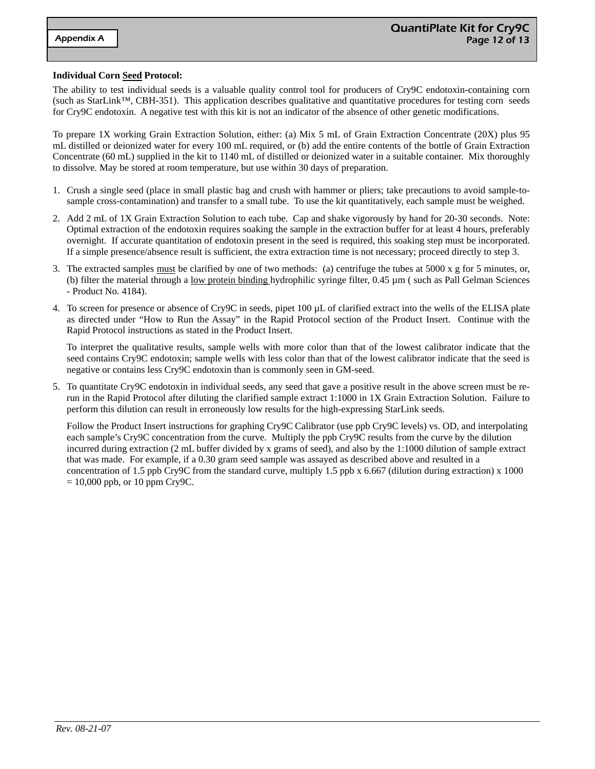#### **Individual Corn Seed Protocol:**

The ability to test individual seeds is a valuable quality control tool for producers of Cry9C endotoxin-containing corn (such as StarLink™, CBH-351). This application describes qualitative and quantitative procedures for testing corn seeds for Cry9C endotoxin. A negative test with this kit is not an indicator of the absence of other genetic modifications.

To prepare 1X working Grain Extraction Solution, either: (a) Mix 5 mL of Grain Extraction Concentrate (20X) plus 95 mL distilled or deionized water for every 100 mL required, or (b) add the entire contents of the bottle of Grain Extraction Concentrate (60 mL) supplied in the kit to 1140 mL of distilled or deionized water in a suitable container. Mix thoroughly to dissolve. May be stored at room temperature, but use within 30 days of preparation.

- 1. Crush a single seed (place in small plastic bag and crush with hammer or pliers; take precautions to avoid sample-tosample cross-contamination) and transfer to a small tube. To use the kit quantitatively, each sample must be weighed.
- 2. Add 2 mL of 1X Grain Extraction Solution to each tube. Cap and shake vigorously by hand for 20-30 seconds. Note: Optimal extraction of the endotoxin requires soaking the sample in the extraction buffer for at least 4 hours, preferably overnight. If accurate quantitation of endotoxin present in the seed is required, this soaking step must be incorporated. If a simple presence/absence result is sufficient, the extra extraction time is not necessary; proceed directly to step 3.
- 3. The extracted samples must be clarified by one of two methods: (a) centrifuge the tubes at 5000 x g for 5 minutes, or, (b) filter the material through a <u>low protein binding hydrophilic</u> syringe filter,  $0.45 \mu m$  (such as Pall Gelman Sciences - Product No. 4184).
- 4. To screen for presence or absence of Cry9C in seeds, pipet 100 µL of clarified extract into the wells of the ELISA plate as directed under "How to Run the Assay" in the Rapid Protocol section of the Product Insert. Continue with the Rapid Protocol instructions as stated in the Product Insert.

To interpret the qualitative results, sample wells with more color than that of the lowest calibrator indicate that the seed contains Cry9C endotoxin; sample wells with less color than that of the lowest calibrator indicate that the seed is negative or contains less Cry9C endotoxin than is commonly seen in GM-seed.

5. To quantitate Cry9C endotoxin in individual seeds, any seed that gave a positive result in the above screen must be rerun in the Rapid Protocol after diluting the clarified sample extract 1:1000 in 1X Grain Extraction Solution. Failure to perform this dilution can result in erroneously low results for the high-expressing StarLink seeds.

Follow the Product Insert instructions for graphing Cry9C Calibrator (use ppb Cry9C levels) vs. OD, and interpolating each sample's Cry9C concentration from the curve. Multiply the ppb Cry9C results from the curve by the dilution incurred during extraction (2 mL buffer divided by x grams of seed), and also by the 1:1000 dilution of sample extract that was made. For example, if a 0.30 gram seed sample was assayed as described above and resulted in a concentration of 1.5 ppb Cry9C from the standard curve, multiply 1.5 ppb x 6.667 (dilution during extraction) x 1000  $= 10,000$  ppb, or 10 ppm Cry9C.